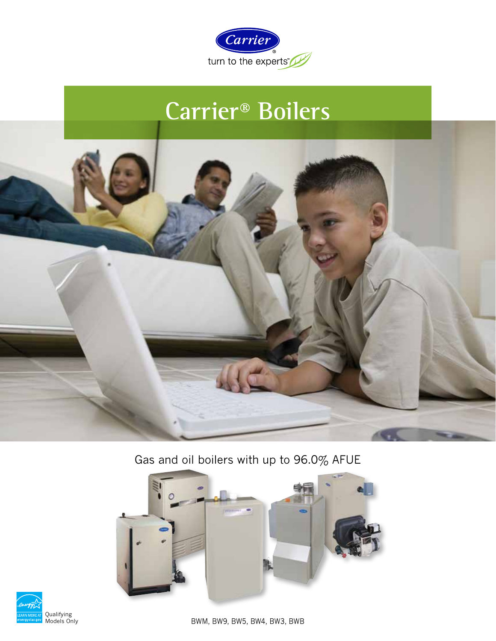

# **Carrier® Boilers**



Gas and oil boilers with up to 96.0% AFUE





BWM, BW9, BW5, BW4, BW3, BWB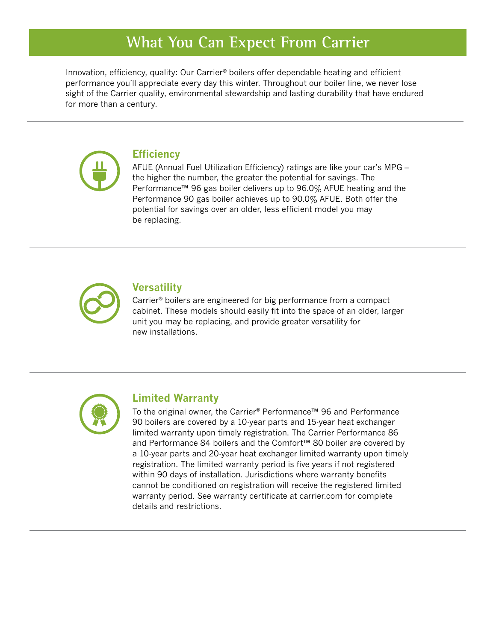## **What You Can Expect From Carrier**

Innovation, efficiency, quality: Our Carrier<sup>®</sup> boilers offer dependable heating and efficient performance you'll appreciate every day this winter. Throughout our boiler line, we never lose sight of the Carrier quality, environmental stewardship and lasting durability that have endured for more than a century.



### **Efficiency**

AFUE (Annual Fuel Utilization Efficiency) ratings are like your car's MPG – the higher the number, the greater the potential for savings. The Performance™ 96 gas boiler delivers up to 96.0% AFUE heating and the Performance 90 gas boiler achieves up to 90.0% AFUE. Both offer the potential for savings over an older, less efficient model you may be replacing.



### **Versatility**

Carrier® boilers are engineered for big performance from a compact cabinet. These models should easily fit into the space of an older, larger unit you may be replacing, and provide greater versatility for new installations.



#### **Limited Warranty**

To the original owner, the Carrier® Performance™ 96 and Performance 90 boilers are covered by a 10-year parts and 15-year heat exchanger limited warranty upon timely registration. The Carrier Performance 86 and Performance 84 boilers and the Comfort™ 80 boiler are covered by a 10-year parts and 20-year heat exchanger limited warranty upon timely registration. The limited warranty period is five years if not registered within 90 days of installation. Jurisdictions where warranty benefits cannot be conditioned on registration will receive the registered limited warranty period. See warranty certificate at carrier.com for complete details and restrictions.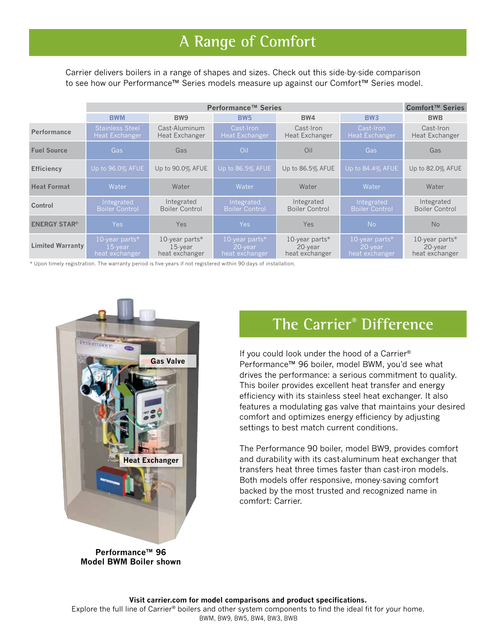# **A Range of Comfort**

Carrier delivers boilers in a range of shapes and sizes. Check out this side-by-side comparison to see how our Performance™ Series models measure up against our Comfort™ Series model.

|                         | Performance™ Series                             |                                                |                                                |                                                |                                                | Comfort™ Series                             |
|-------------------------|-------------------------------------------------|------------------------------------------------|------------------------------------------------|------------------------------------------------|------------------------------------------------|---------------------------------------------|
|                         | <b>BWM</b>                                      | BW <sub>9</sub>                                | <b>BW5</b>                                     | BW4                                            | <b>BW3</b>                                     | <b>BWB</b>                                  |
| <b>Performance</b>      | <b>Stainless Steel</b><br><b>Heat Exchanger</b> | Cast-Aluminum<br>Heat Exchanger                | Cast-Iron<br><b>Heat Exchanger</b>             | Cast-Iron<br>Heat Exchanger                    | Cast-Iron<br>Heat Exchanger                    | Cast-Iron<br>Heat Exchanger                 |
| <b>Fuel Source</b>      | Gas                                             | Gas                                            | Oil                                            | Oil                                            | Gas                                            | Gas                                         |
| <b>Efficiency</b>       | Up to 96.0% AFUE                                | Up to 90.0% AFUE                               | Up to 86.5% AFUE                               | Up to 86.5% AFUE                               | Up to 84.4% AFUE                               | Up to 82.0% AFUE                            |
| <b>Heat Format</b>      | Water                                           | Water                                          | Water                                          | Water                                          | Water                                          | Water                                       |
| Control                 | Integrated<br><b>Boiler Control</b>             | Integrated<br><b>Boiler Control</b>            | Integrated<br><b>Boiler Control</b>            | Integrated<br>Boiler Control                   | Integrated<br><b>Boiler Control</b>            | Integrated<br>Boiler Control                |
| <b>ENERGY STAR®</b>     | <b>Yes</b>                                      | Yes                                            | Yes                                            | <b>Yes</b>                                     | <b>No</b>                                      | <b>No</b>                                   |
| <b>Limited Warranty</b> | 10-year parts*<br>$15$ -year<br>heat exchanger  | 10-year parts*<br>$15$ -year<br>heat exchanger | 10-year parts*<br>$20$ -vear<br>heat exchanger | 10-year parts*<br>$20$ -vear<br>heat exchanger | 10-year parts*<br>$20$ -year<br>heat exchanger | 10-year parts*<br>20-year<br>heat exchanger |

\* Upon timely registration. The warranty period is five years if not registered within 90 days of installation.



#### **Performance™ 96 Model BWM Boiler shown**

### **The Carrier® Difference**

If you could look under the hood of a Carrier® Performance™ 96 boiler, model BWM, you'd see what drives the performance: a serious commitment to quality. This boiler provides excellent heat transfer and energy efficiency with its stainless steel heat exchanger. It also features a modulating gas valve that maintains your desired comfort and optimizes energy efficiency by adjusting settings to best match current conditions.

The Performance 90 boiler, model BW9, provides comfort and durability with its cast-aluminum heat exchanger that transfers heat three times faster than cast-iron models. Both models offer responsive, money-saving comfort backed by the most trusted and recognized name in comfort: Carrier.